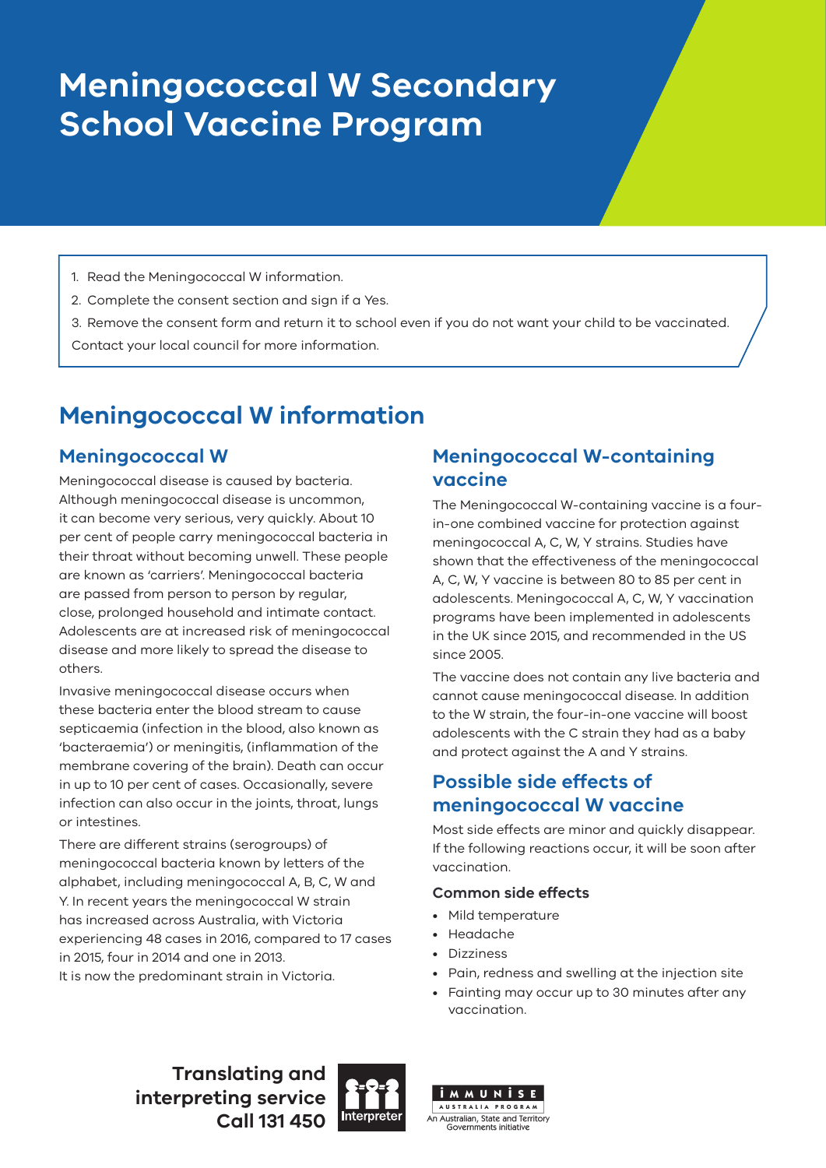# **Meningococcal W Secondary School Vaccine Program**

- 1. Read the Meningococcal W information.
- 2. Complete the consent section and sign if a Yes.
- 3. Remove the consent form and return it to school even if you do not want your child to be vaccinated.

Contact your local council for more information.

# **Meningococcal W information**

## **Meningococcal W**

Meningococcal disease is caused by bacteria. Although meningococcal disease is uncommon, it can become very serious, very quickly. About 10 per cent of people carry meningococcal bacteria in their throat without becoming unwell. These people are known as 'carriers'. Meningococcal bacteria are passed from person to person by regular, close, prolonged household and intimate contact. Adolescents are at increased risk of meningococcal disease and more likely to spread the disease to others.

Invasive meningococcal disease occurs when these bacteria enter the blood stream to cause septicaemia (infection in the blood, also known as 'bacteraemia') or meningitis, (inflammation of the membrane covering of the brain). Death can occur in up to 10 per cent of cases. Occasionally, severe infection can also occur in the joints, throat, lungs or intestines.

There are different strains (serogroups) of meningococcal bacteria known by letters of the alphabet, including meningococcal A, B, C, W and Y. In recent years the meningococcal W strain has increased across Australia, with Victoria experiencing 48 cases in 2016, compared to 17 cases in 2015, four in 2014 and one in 2013. It is now the predominant strain in Victoria.

# **Meningococcal W-containing vaccine**

The Meningococcal W-containing vaccine is a fourin-one combined vaccine for protection against meningococcal A, C, W, Y strains. Studies have shown that the effectiveness of the meningococcal A, C, W, Y vaccine is between 80 to 85 per cent in adolescents. Meningococcal A, C, W, Y vaccination programs have been implemented in adolescents in the UK since 2015, and recommended in the US since 2005.

The vaccine does not contain any live bacteria and cannot cause meningococcal disease. In addition to the W strain, the four-in-one vaccine will boost adolescents with the C strain they had as a baby and protect against the A and Y strains.

# **Possible side effects of meningococcal W vaccine**

Most side effects are minor and quickly disappear. If the following reactions occur, it will be soon after vaccination.

### **Common side effects**

- Mild temperature
- Headache
- Dizziness
- Pain, redness and swelling at the injection site
- Fainting may occur up to 30 minutes after any vaccination.

**Translating and interpreting service Call 131 450**



AUSTRALIA PROGRAM An Australian, State and Territory Governments initiative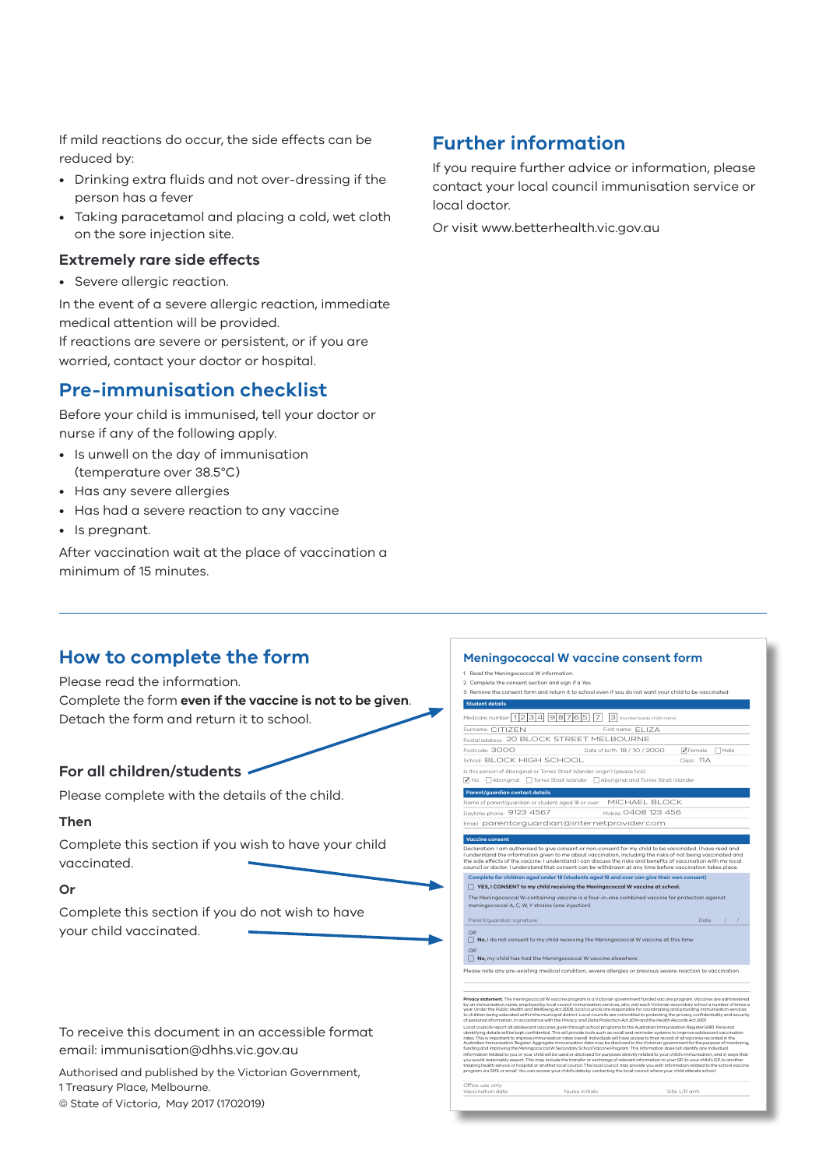If mild reactions do occur, the side effects can be reduced by:

- Drinking extra fluids and not over-dressing if the person has a fever
- Taking paracetamol and placing a cold, wet cloth on the sore injection site.

#### **Extremely rare side effects**

• Severe allergic reaction.

In the event of a severe allergic reaction, immediate medical attention will be provided. If reactions are severe or persistent, or if you are worried, contact your doctor or hospital.

## **Pre-immunisation checklist**

Before your child is immunised, tell your doctor or nurse if any of the following apply.

- Is unwell on the day of immunisation (temperature over 38.5°C)
- Has any severe allergies
- Has had a severe reaction to any vaccine
- Is pregnant.

After vaccination wait at the place of vaccination a minimum of 15 minutes.

## **Further information**

1. Read the Meningococcal W information. 2. Complete the consent section and sign if a Yes.

 **Student details**

 **Parent/guardian contact details**

 **Vaccine consent**

3. Remove the consent form and return it to school even if you do not want your child to be vaccinated.

**Meningococcal W vaccine consent form**

Postcode: 3000 18 / 2000 19 Date of birth: 18 / 10 / 2000 19 Female Male School: BLOCK HIGH SCHOOL 11 Class: 11A

ELIZA

 $\overline{\mathcal{L}}$ 

MICHAEL BLOCK  $20408123456$ 

Declaration: I am authorised to give consent or non-consent for my child to be vaccinated. I have read and<br>I understand the information given to me about vaccination, including the risks of not being vaccinated and<br>the sid **Complete for children aged under 18 (students aged 18 and over can give their own consent)**  c **YES, I CONSENT to my child receiving the Meningococcal W vaccine at school.** 

The Meningococcal W-containing vaccine is a four-in-one combined vaccine for protection against meningococcal A, C, W, Y strains (one injection). Parent/guardian signature:  $\sqrt{2}$  /  $\sqrt{2}$  /  $\sqrt{2}$  /  $\sqrt{2}$  /  $\sqrt{2}$  /  $\sqrt{2}$  /  $\sqrt{2}$  /  $\sqrt{2}$  /  $\sqrt{2}$  /  $\sqrt{2}$  /  $\sqrt{2}$  /  $\sqrt{2}$  /  $\sqrt{2}$  /  $\sqrt{2}$  /  $\sqrt{2}$  /  $\sqrt{2}$  /  $\sqrt{2}$  /  $\sqrt{2}$  /  $\sqrt{2}$  /  $\sqrt{2$ 

**Privacy statement.** The meningococcal W vaccine program is a Victorian government funded vaccine program. Vaccines are administered<br>by an immunisation nurse, employed by local council immunisation services, who visit each to children being educated within the municipal district. Local councils are committed to protecting the privacy, confidentiality and security of personal information, in accordance with the *Privacy and Data Protection Act 2014* and the *Health Records Act 2001*. Local councils report all adolescent vaccines given through school programs to the Australian Immunisation Register (AIR). Personal identifying details will be kept confidential. This will provide tools such as recall and reminder systems to improve adolescent vaccination rates. This is important to improve immunisation rates overall. Individuals will have access to their record of all vaccines recorded in the Australian Immunisation Register. Aggregate immunisation data may be disclosed to the Victorian government for the purpose of monitoring, funding and improving the Meningococcal W Secondary School Vaccine Program. This information does not identify any individual. Information related to you or your child will be used or disclosed for purposes directly related to your child's immunisation, and in ways that you would reasonably expect. This may include the transfer or exchange of relevant information to your GP, to your child's GP, to another treating health service or hospital or another local council. The local council may provide you with information related to the school vaccine program via SMS or email. You can access your child's data by contacting the local council where your child attends school.

*OR*<br>□ **No**, I do not consent to my child receiving the Meningococcal W vaccine at this time

Please note any pre-existing medical condition, severe allergies or previous severe reaction to vaccination.

*OR*<br>□ **No**, my child has had the Meningococcal W vaccine elsewhere

Medicare number 1234 98765 7 3 Number beside child's name Surname: CITIZEN First name Postal address: 20 BLOCK STREET MELBOURNE

on of Aboriginal or Torres Strait Islander origin? (ple  $\sqrt{ }$  No  $\Box$  Aboriginal  $\Box$  Torres Strait Islander  $\Box$  Aboriginal and Torres Strait Islander

Email: parentorguardian@internetprovider.com

Name of parent/guardian or student aged 18 or over: ne: 9123 4567

Office use only:

Vaccination date: Nurse initials: Site: L/R arm

If you require further advice or information, please contact your local council immunisation service or local doctor.

Or visit www.betterhealth.vic.gov.au

### **How to complete the form**

Please read the information. Complete the form **even if the vaccine is not to be given**. Detach the form and return it to school.

### **For all children/students**

Please complete with the details of the child.

#### **Then**

Complete this section if you wish to have your child vaccinated.

#### **Or**

Complete this section if you do not wish to have your child vaccinated.

To receive this document in an accessible format email: immunisation@dhhs.vic.gov.au

Authorised and published by the Victorian Government, 1 Treasury Place, Melbourne.

© State of Victoria, May 2017 (1702019)